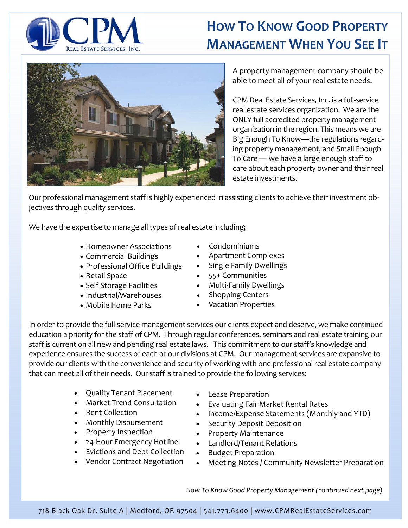

## **HOW TO KNOW GOOD PROPERTY MANAGEMENT WHEN YOU SEE IT**



A property management company should be able to meet all of your real estate needs.

CPM Real Estate Services, Inc. is a full‐service real estate services organization. We are the ONLY full accredited property management organization in the region. This means we are Big Enough To Know—the regulations regard‐ ing property management, and Small Enough To Care — we have a large enough staff to care about each property owner and their real estate investments.

Our professional management staff is highly experienced in assisting clients to achieve their investment ob‐ jectives through quality services.

We have the expertise to manage all types of real estate including;

- Homeowner Associations
- Commercial Buildings
- Professional Office Buildings
- Retail Space
- Self Storage Facilities
- Industrial/Warehouses
- Mobile Home Parks
- Condominiums
- Apartment Complexes
- Single Family Dwellings
- 55+ Communities
- Multi-Family Dwellings
- Shopping Centers
- Vacation Properties

In order to provide the full‐service management services our clients expect and deserve, we make continued education a priority for the staff of CPM. Through regular conferences, seminars and real estate training our staff is current on all new and pending real estate laws. This commitment to our staff's knowledge and experience ensures the success of each of our divisions at CPM. Our management services are expansive to provide our clients with the convenience and security of working with one professional real estate company that can meet all of their needs. Our staff is trained to provide the following services:

- Quality Tenant Placement
- Market Trend Consultation
- Rent Collection
- Monthly Disbursement
- Property Inspection
- 24‐Hour Emergency Hotline
- Evictions and Debt Collection
- Vendor Contract Negotiation
- Lease Preparation
- Evaluating Fair Market Rental Rates
- Income/Expense Statements (Monthly and YTD)
- Security Deposit Deposition
- Property Maintenance
- Landlord/Tenant Relations
- Budget Preparation
- Meeting Notes / Community Newsletter Preparation

*How To Know Good Property Management (continued next page)*